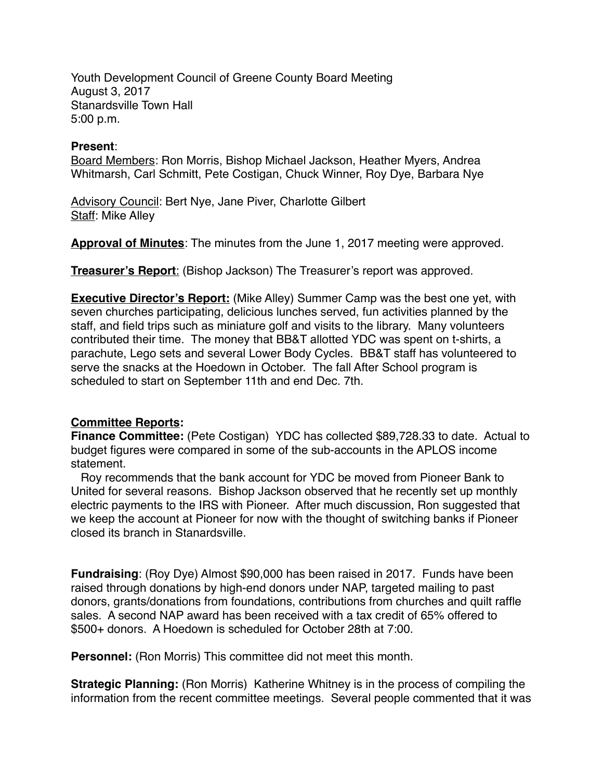Youth Development Council of Greene County Board Meeting August 3, 2017 Stanardsville Town Hall 5:00 p.m.

## **Present**:

Board Members: Ron Morris, Bishop Michael Jackson, Heather Myers, Andrea Whitmarsh, Carl Schmitt, Pete Costigan, Chuck Winner, Roy Dye, Barbara Nye

Advisory Council: Bert Nye, Jane Piver, Charlotte Gilbert Staff: Mike Alley

**Approval of Minutes**: The minutes from the June 1, 2017 meeting were approved.

**Treasurer's Report**: (Bishop Jackson) The Treasurer's report was approved.

**Executive Director's Report:** (Mike Alley) Summer Camp was the best one yet, with seven churches participating, delicious lunches served, fun activities planned by the staff, and field trips such as miniature golf and visits to the library. Many volunteers contributed their time. The money that BB&T allotted YDC was spent on t-shirts, a parachute, Lego sets and several Lower Body Cycles. BB&T staff has volunteered to serve the snacks at the Hoedown in October. The fall After School program is scheduled to start on September 11th and end Dec. 7th.

## **Committee Reports:**

**Finance Committee:** (Pete Costigan) YDC has collected \$89,728.33 to date. Actual to budget figures were compared in some of the sub-accounts in the APLOS income statement.

 Roy recommends that the bank account for YDC be moved from Pioneer Bank to United for several reasons. Bishop Jackson observed that he recently set up monthly electric payments to the IRS with Pioneer. After much discussion, Ron suggested that we keep the account at Pioneer for now with the thought of switching banks if Pioneer closed its branch in Stanardsville.

**Fundraising**: (Roy Dye) Almost \$90,000 has been raised in 2017. Funds have been raised through donations by high-end donors under NAP, targeted mailing to past donors, grants/donations from foundations, contributions from churches and quilt raffle sales. A second NAP award has been received with a tax credit of 65% offered to \$500+ donors. A Hoedown is scheduled for October 28th at 7:00.

**Personnel:** (Ron Morris) This committee did not meet this month.

**Strategic Planning:** (Ron Morris) Katherine Whitney is in the process of compiling the information from the recent committee meetings. Several people commented that it was